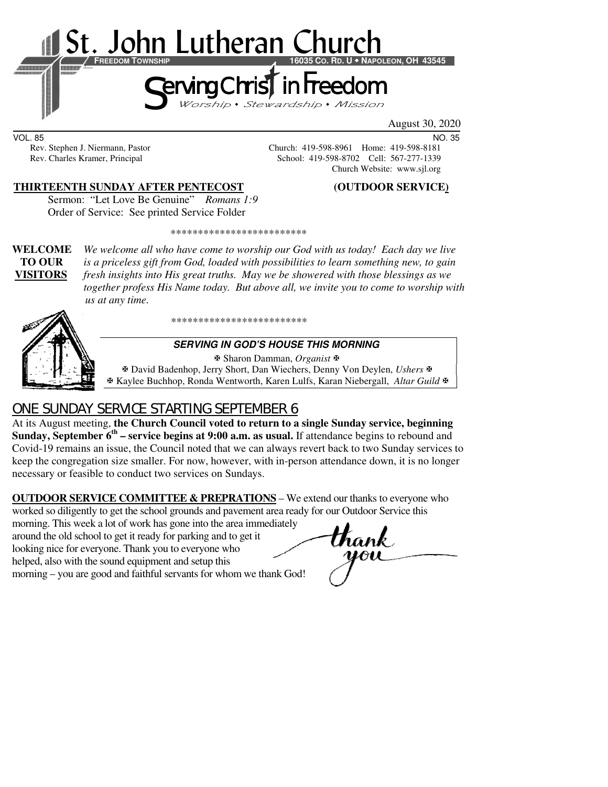

August 30, 2020

VOL. 85 NO. 35 Rev. Stephen J. Niermann, Pastor Church: 419-598-8961 Home: 419-598-8181<br>Rev. Charles Kramer, Principal School: 419-598-8702 Cell: 567-277-1339

#### **THIRTEENTH SUNDAY AFTER PENTECOST (OUTDOOR SERVICE)**

Church Website: www.sjl.org

School: 419-598-8702 Cell: 567-277-1339

Sermon: "Let Love Be Genuine" *Romans 1:9* Order of Service:See printed Service Folder

\*\*\*\*\*\*\*\*\*\*\*\*\*\*\*\*\*\*\*\*\*\*\*\*\*

**WELCOME** *We welcome all who have come to worship our God with us today! Each day we live* **TO OUR** *is a priceless gift from God, loaded with possibilities to learn something new, to gain*  **VISITORS** *fresh insights into His great truths. May we be showered with those blessings as we together profess His Name today. But above all, we invite you to come to worship with us at any time.* 

\*\*\*\*\*\*\*\*\*\*\*\*\*\*\*\*\*\*\*\*\*\*\*\*\*



#### **SERVING IN GOD'S HOUSE THIS MORNING**

 Sharon Damman, *Organist* David Badenhop, Jerry Short, Dan Wiechers, Denny Von Deylen, *Ushers* Kaylee Buchhop, Ronda Wentworth, Karen Lulfs, Karan Niebergall, *Altar Guild*

# ONE SUNDAY SERVICE STARTING SEPTEMBER 6

At its August meeting, **the Church Council voted to return to a single Sunday service, beginning Sunday, September 6th – service begins at 9:00 a.m. as usual.** If attendance begins to rebound and Covid-19 remains an issue, the Council noted that we can always revert back to two Sunday services to keep the congregation size smaller. For now, however, with in-person attendance down, it is no longer necessary or feasible to conduct two services on Sundays.

**OUTDOOR SERVICE COMMITTEE & PREPRATIONS** – We extend our thanks to everyone who worked so diligently to get the school grounds and pavement area ready for our Outdoor Service this

morning. This week a lot of work has gone into the area immediately around the old school to get it ready for parking and to get it looking nice for everyone. Thank you to everyone who helped, also with the sound equipment and setup this morning – you are good and faithful servants for whom we thank God!

thank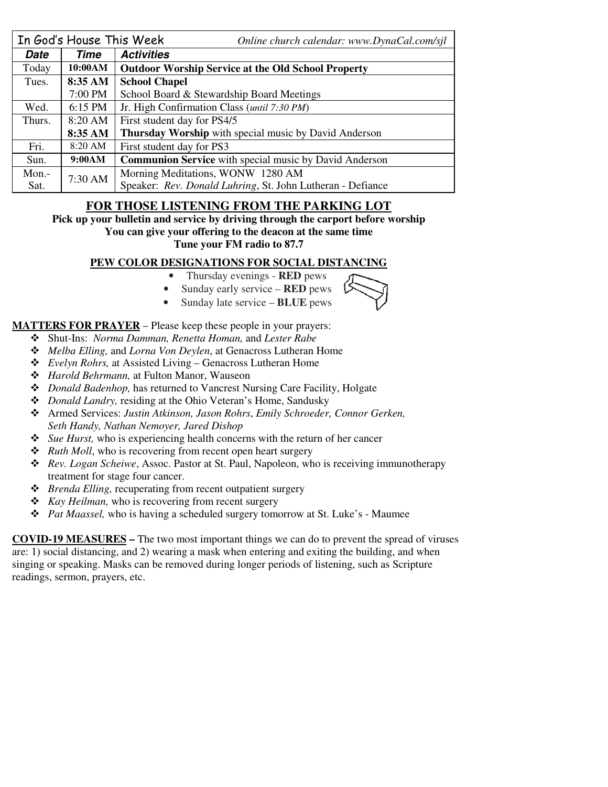| In God's House This Week |           | Online church calendar: www.DynaCal.com/sjl                   |  |  |
|--------------------------|-----------|---------------------------------------------------------------|--|--|
| Date                     | Time      | <b>Activities</b>                                             |  |  |
| Today                    | 10:00AM   | <b>Outdoor Worship Service at the Old School Property</b>     |  |  |
| Tues.                    | 8:35 AM   | <b>School Chapel</b>                                          |  |  |
|                          | 7:00 PM   | School Board & Stewardship Board Meetings                     |  |  |
| Wed.                     | $6:15$ PM | Jr. High Confirmation Class (until 7:30 PM)                   |  |  |
| Thurs.                   | 8:20 AM   | First student day for PS4/5                                   |  |  |
|                          | 8:35 AM   | Thursday Worship with special music by David Anderson         |  |  |
| Fri.                     | $8:20$ AM | First student day for PS3                                     |  |  |
| Sun.                     | 9:00AM    | <b>Communion Service</b> with special music by David Anderson |  |  |
| $Mon. -$                 | 7:30 AM   | Morning Meditations, WONW 1280 AM                             |  |  |
| Sat.                     |           | Speaker: Rev. Donald Luhring, St. John Lutheran - Defiance    |  |  |

### **FOR THOSE LISTENING FROM THE PARKING LOT**

**Pick up your bulletin and service by driving through the carport before worship** 

**You can give your offering to the deacon at the same time** 

**Tune your FM radio to 87.7** 

### **PEW COLOR DESIGNATIONS FOR SOCIAL DISTANCING**

- Thursday evenings **RED** pews • Sunday early service – **RED** pews
- 
- Sunday late service **BLUE** pews

#### **MATTERS FOR PRAYER** – Please keep these people in your prayers:

- Shut-Ins: *Norma Damman, Renetta Homan,* and *Lester Rabe*
- *Melba Elling,* and *Lorna Von Deylen*, at Genacross Lutheran Home
- *Evelyn Rohrs,* at Assisted Living Genacross Lutheran Home
- *Harold Behrmann,* at Fulton Manor, Wauseon
- *Donald Badenhop,* has returned to Vancrest Nursing Care Facility, Holgate
- *Donald Landry,* residing at the Ohio Veteran's Home, Sandusky
- Armed Services: *Justin Atkinson, Jason Rohrs*, *Emily Schroeder, Connor Gerken, Seth Handy, Nathan Nemoyer, Jared Dishop*
- *Sue Hurst,* who is experiencing health concerns with the return of her cancer
- *❖ Ruth Moll*, who is recovering from recent open heart surgery
- *Rev. Logan Scheiwe*, Assoc. Pastor at St. Paul, Napoleon, who is receiving immunotherapy treatment for stage four cancer.
- *Brenda Elling,* recuperating from recent outpatient surgery
- *Kay Heilman,* who is recovering from recent surgery
- *Pat Maassel,* who is having a scheduled surgery tomorrow at St. Luke's Maumee

**COVID-19 MEASURES –** The two most important things we can do to prevent the spread of viruses are: 1) social distancing, and 2) wearing a mask when entering and exiting the building, and when singing or speaking. Masks can be removed during longer periods of listening, such as Scripture readings, sermon, prayers, etc.

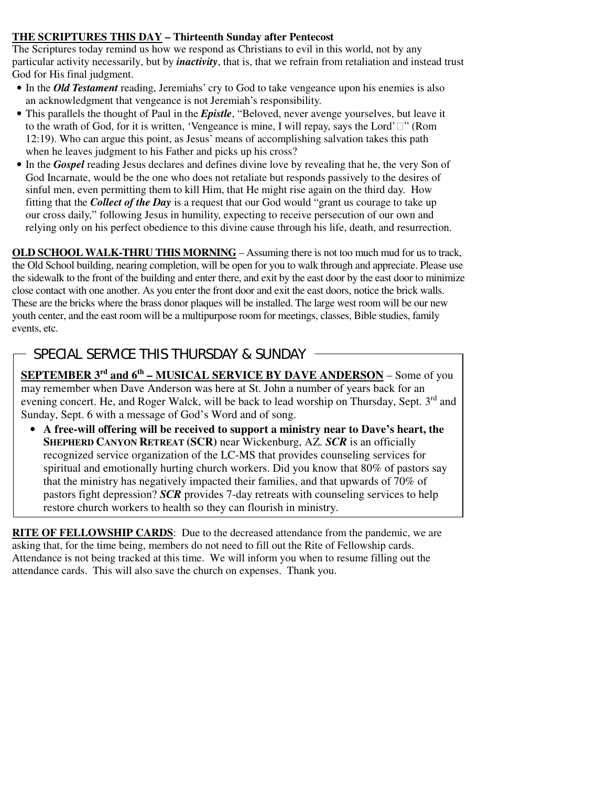#### **THE SCRIPTURES THIS DAY – Thirteenth Sunday after Pentecost**

The Scriptures today remind us how we respond as Christians to evil in this world, not by any particular activity necessarily, but by *inactivity*, that is, that we refrain from retaliation and instead trust God for His final judgment.

- In the *Old Testament* reading, Jeremiahs' cry to God to take vengeance upon his enemies is also an acknowledgment that vengeance is not Jeremiah's responsibility.
- This parallels the thought of Paul in the *Epistle*, "Beloved, never avenge yourselves, but leave it to the wrath of God, for it is written, 'Vengeance is mine, I will repay, says the Lord'" (Rom 12:19). Who can argue this point, as Jesus' means of accomplishing salvation takes this path when he leaves judgment to his Father and picks up his cross?
- In the *Gospel* reading Jesus declares and defines divine love by revealing that he, the very Son of God Incarnate, would be the one who does not retaliate but responds passively to the desires of sinful men, even permitting them to kill Him, that He might rise again on the third day. How fitting that the *Collect of the Day* is a request that our God would "grant us courage to take up our cross daily," following Jesus in humility, expecting to receive persecution of our own and relying only on his perfect obedience to this divine cause through his life, death, and resurrection.

**OLD SCHOOL WALK-THRU THIS MORNING** – Assuming there is not too much mud for us to track, the Old School building, nearing completion, will be open for you to walk through and appreciate. Please use the sidewalk to the front of the building and enter there, and exit by the east door by the east door to minimize close contact with one another. As you enter the front door and exit the east doors, notice the brick walls. These are the bricks where the brass donor plaques will be installed. The large west room will be our new youth center, and the east room will be a multipurpose room for meetings, classes, Bible studies, family events, etc.

# SPECIAL SERVICE THIS THURSDAY & SUNDAY

і<br>Г

**SEPTEMBER 3rd and 6th – MUSICAL SERVICE BY DAVE ANDERSON** – Some of you may remember when Dave Anderson was here at St. John a number of years back for an evening concert. He, and Roger Walck, will be back to lead worship on Thursday, Sept. 3<sup>rd</sup> and Sunday, Sept. 6 with a message of God's Word and of song.

• **A free-will offering will be received to support a ministry near to Dave's heart, the SHEPHERD CANYON RETREAT (SCR)** near Wickenburg, AZ. *SCR* is an officially recognized service organization of the LC-MS that provides counseling services for spiritual and emotionally hurting church workers. Did you know that 80% of pastors say that the ministry has negatively impacted their families, and that upwards of 70% of pastors fight depression? *SCR* provides 7-day retreats with counseling services to help restore church workers to health so they can flourish in ministry.

**RITE OF FELLOWSHIP CARDS**: Due to the decreased attendance from the pandemic, we are asking that, for the time being, members do not need to fill out the Rite of Fellowship cards. Attendance is not being tracked at this time. We will inform you when to resume filling out the attendance cards. This will also save the church on expenses. Thank you.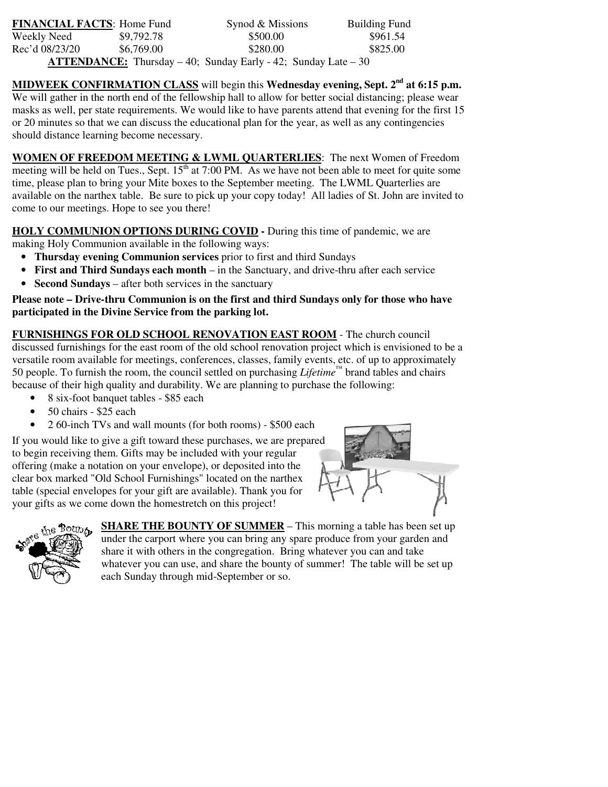| <b>FINANCIAL FACTS: Home Fund</b>                                          |            | Synod & Missions | <b>Building Fund</b> |  |  |
|----------------------------------------------------------------------------|------------|------------------|----------------------|--|--|
| Weekly Need                                                                | \$9,792.78 | \$500.00         | \$961.54             |  |  |
| Rec'd 08/23/20                                                             | \$6,769.00 | \$280.00         | \$825.00             |  |  |
| <b>ATTENDANCE:</b> Thursday $-40$ ; Sunday Early $-42$ ; Sunday Late $-30$ |            |                  |                      |  |  |

**MIDWEEK CONFIRMATION CLASS** will begin this **Wednesday evening, Sept. 2nd at 6:15 p.m.** We will gather in the north end of the fellowship hall to allow for better social distancing; please wear masks as well, per state requirements. We would like to have parents attend that evening for the first 15 or 20 minutes so that we can discuss the educational plan for the year, as well as any contingencies should distance learning become necessary.

**WOMEN OF FREEDOM MEETING & LWML QUARTERLIES**: The next Women of Freedom meeting will be held on Tues., Sept.  $15<sup>th</sup>$  at 7:00 PM. As we have not been able to meet for quite some time, please plan to bring your Mite boxes to the September meeting. The LWML Quarterlies are available on the narthex table. Be sure to pick up your copy today! All ladies of St. John are invited to come to our meetings. Hope to see you there!

**HOLY COMMUNION OPTIONS DURING COVID -** During this time of pandemic, we are making Holy Communion available in the following ways:

- **Thursday evening Communion services** prior to first and third Sundays
- **First and Third Sundays each month** in the Sanctuary, and drive-thru after each service
- **Second Sundays** after both services in the sanctuary

**Please note – Drive-thru Communion is on the first and third Sundays only for those who have participated in the Divine Service from the parking lot.** 

**FURNISHINGS FOR OLD SCHOOL RENOVATION EAST ROOM** - The church council discussed furnishings for the east room of the old school renovation project which is envisioned to be a versatile room available for meetings, conferences, classes, family events, etc. of up to approximately 50 people. To furnish the room, the council settled on purchasing *Lifetime™* brand tables and chairs because of their high quality and durability. We are planning to purchase the following:

- 8 six-foot banquet tables \$85 each
- 50 chairs \$25 each
- 2 60-inch TVs and wall mounts (for both rooms) \$500 each

If you would like to give a gift toward these purchases, we are prepared to begin receiving them. Gifts may be included with your regular offering (make a notation on your envelope), or deposited into the clear box marked "Old School Furnishings" located on the narthex table (special envelopes for your gift are available). Thank you for your gifts as we come down the homestretch on this project!





**SHARE THE BOUNTY OF SUMMER** – This morning a table has been set up under the carport where you can bring any spare produce from your garden and share it with others in the congregation. Bring whatever you can and take whatever you can use, and share the bounty of summer! The table will be set up each Sunday through mid-September or so.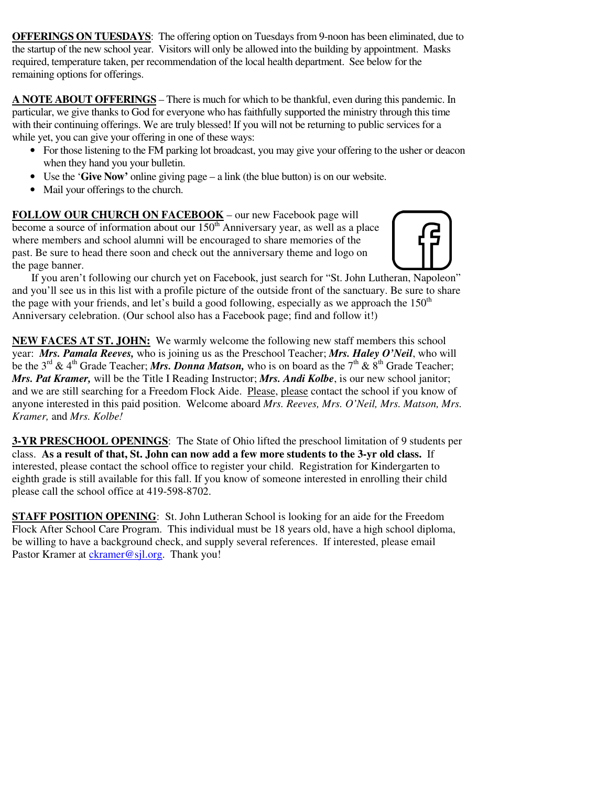**OFFERINGS ON TUESDAYS**: The offering option on Tuesdays from 9-noon has been eliminated, due to the startup of the new school year. Visitors will only be allowed into the building by appointment. Masks required, temperature taken, per recommendation of the local health department. See below for the remaining options for offerings.

**A NOTE ABOUT OFFERINGS** – There is much for which to be thankful, even during this pandemic. In particular, we give thanks to God for everyone who has faithfully supported the ministry through this time with their continuing offerings. We are truly blessed! If you will not be returning to public services for a while yet, you can give your offering in one of these ways:

- For those listening to the FM parking lot broadcast, you may give your offering to the usher or deacon when they hand you your bulletin.
- Use the '**Give Now'** online giving page a link (the blue button) is on our website.
- Mail your offerings to the church.

FOLLOW OUR CHURCH ON FACEBOOK - our new Facebook page will become a source of information about our  $150<sup>th</sup>$  Anniversary year, as well as a place where members and school alumni will be encouraged to share memories of the past. Be sure to head there soon and check out the anniversary theme and logo on the page banner.



 If you aren't following our church yet on Facebook, just search for "St. John Lutheran, Napoleon" and you'll see us in this list with a profile picture of the outside front of the sanctuary. Be sure to share the page with your friends, and let's build a good following, especially as we approach the  $150<sup>th</sup>$ Anniversary celebration. (Our school also has a Facebook page; find and follow it!)

**NEW FACES AT ST. JOHN:** We warmly welcome the following new staff members this school year: *Mrs. Pamala Reeves,* who is joining us as the Preschool Teacher; *Mrs. Haley O'Neil*, who will be the 3<sup>rd</sup> & 4<sup>th</sup> Grade Teacher; *Mrs. Donna Matson*, who is on board as the 7<sup>th</sup> & 8<sup>th</sup> Grade Teacher; *Mrs. Pat Kramer,* will be the Title I Reading Instructor; *Mrs. Andi Kolbe*, is our new school janitor; and we are still searching for a Freedom Flock Aide. Please, please contact the school if you know of anyone interested in this paid position.Welcome aboard *Mrs. Reeves, Mrs. O'Neil, Mrs. Matson, Mrs. Kramer,* and *Mrs. Kolbe!*

**3-YR PRESCHOOL OPENINGS**: The State of Ohio lifted the preschool limitation of 9 students per class. **As a result of that, St. John can now add a few more students to the 3-yr old class.** If interested, please contact the school office to register your child. Registration for Kindergarten to eighth grade is still available for this fall. If you know of someone interested in enrolling their child please call the school office at 419-598-8702.

**STAFF POSITION OPENING**: St. John Lutheran School is looking for an aide for the Freedom Flock After School Care Program. This individual must be 18 years old, have a high school diploma, be willing to have a background check, and supply several references. If interested, please email Pastor Kramer at ckramer@sjl.org. Thank you!